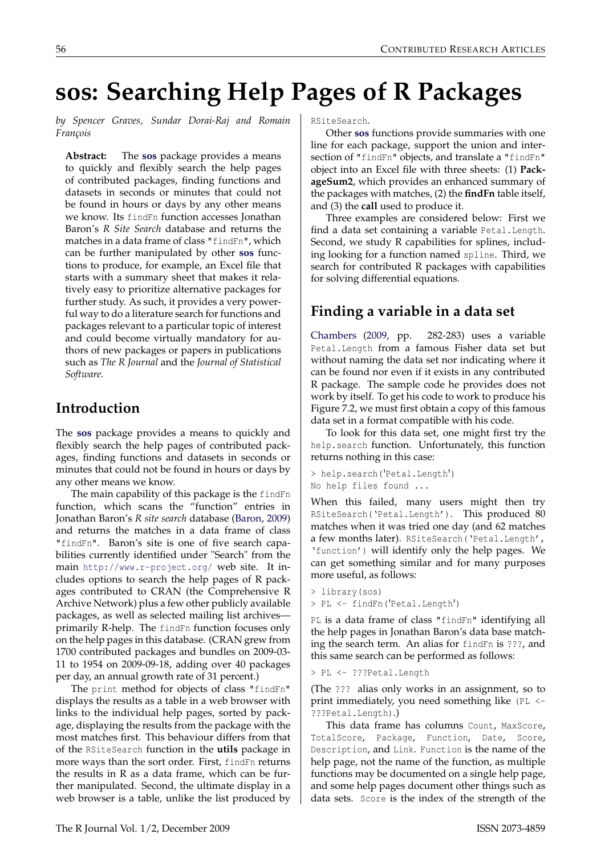# **sos: Searching Help Pages of R Packages**

*by Spencer Graves, Sundar Dorai-Raj and Romain François*

**Abstract:** The **[sos](http://cran.r-project.org/package=sos)** package provides a means to quickly and flexibly search the help pages of contributed packages, finding functions and datasets in seconds or minutes that could not be found in hours or days by any other means we know. Its findFn function accesses Jonathan Baron's *R Site Search* database and returns the matches in a data frame of class "findFn", which can be further manipulated by other **[sos](http://cran.r-project.org/package=sos)** functions to produce, for example, an Excel file that starts with a summary sheet that makes it relatively easy to prioritize alternative packages for further study. As such, it provides a very powerful way to do a literature search for functions and packages relevant to a particular topic of interest and could become virtually mandatory for authors of new packages or papers in publications such as *The R Journal* and the *Journal of Statistical Software*.

### **Introduction**

The **[sos](http://cran.r-project.org/package=sos)** package provides a means to quickly and flexibly search the help pages of contributed packages, finding functions and datasets in seconds or minutes that could not be found in hours or days by any other means we know.

The main capability of this package is the findFn function, which scans the "function" entries in Jonathan Baron's *R site search* database [\(Baron,](#page-3-0) [2009\)](#page-3-0) and returns the matches in a data frame of class "findFn". Baron's site is one of five search capabilities currently identified under "Search" from the main <http://www.r-project.org/> web site. It includes options to search the help pages of R packages contributed to CRAN (the Comprehensive R Archive Network) plus a few other publicly available packages, as well as selected mailing list archives primarily R-help. The findFn function focuses only on the help pages in this database. (CRAN grew from 1700 contributed packages and bundles on 2009-03- 11 to 1954 on 2009-09-18, adding over 40 packages per day, an annual growth rate of 31 percent.)

The print method for objects of class "findFn" displays the results as a table in a web browser with links to the individual help pages, sorted by package, displaying the results from the package with the most matches first. This behaviour differs from that of the RSiteSearch function in the **utils** package in more ways than the sort order. First, findFn returns the results in R as a data frame, which can be further manipulated. Second, the ultimate display in a web browser is a table, unlike the list produced by

RSiteSearch.

Other **[sos](http://cran.r-project.org/package=sos)** functions provide summaries with one line for each package, support the union and intersection of "findFn" objects, and translate a "findFn" object into an Excel file with three sheets: (1) **PackageSum2**, which provides an enhanced summary of the packages with matches, (2) the **findFn** table itself, and (3) the **call** used to produce it.

Three examples are considered below: First we find a data set containing a variable Petal.Length. Second, we study R capabilities for splines, including looking for a function named spline. Third, we search for contributed R packages with capabilities for solving differential equations.

# **Finding a variable in a data set**

[Chambers](#page-3-1) [\(2009,](#page-3-1) pp. 282-283) uses a variable Petal.Length from a famous Fisher data set but without naming the data set nor indicating where it can be found nor even if it exists in any contributed R package. The sample code he provides does not work by itself. To get his code to work to produce his Figure 7.2, we must first obtain a copy of this famous data set in a format compatible with his code.

To look for this data set, one might first try the help.search function. Unfortunately, this function returns nothing in this case:

```
> help.search('Petal.Length')
No help files found ...
```
When this failed, many users might then try RSiteSearch('Petal.Length'). This produced 80 matches when it was tried one day (and 62 matches a few months later). RSiteSearch('Petal.Length', 'function') will identify only the help pages. We can get something similar and for many purposes more useful, as follows:

```
> library(sos)
> PL <- findFn('Petal.Length')
```
PL is a data frame of class "findFn" identifying all the help pages in Jonathan Baron's data base matching the search term. An alias for findFn is ???, and this same search can be performed as follows:

```
> PL <- ???Petal.Length
```
(The ??? alias only works in an assignment, so to print immediately, you need something like (PL <- ???Petal.Length).)

This data frame has columns Count, MaxScore, TotalScore, Package, Function, Date, Score, Description, and Link. Function is the name of the help page, not the name of the function, as multiple functions may be documented on a single help page, and some help pages document other things such as data sets. Score is the index of the strength of the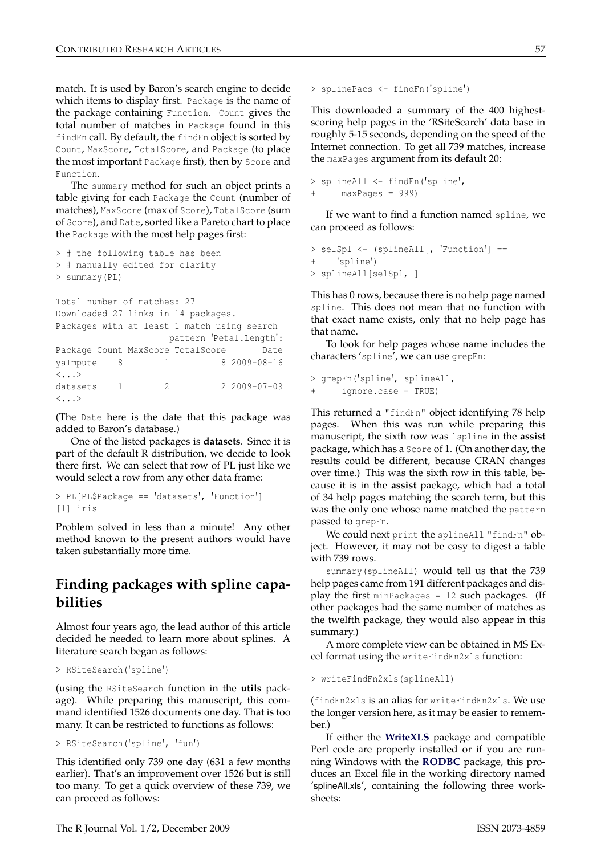match. It is used by Baron's search engine to decide which items to display first. Package is the name of the package containing Function. Count gives the total number of matches in Package found in this findFn call. By default, the findFn object is sorted by Count, MaxScore, TotalScore, and Package (to place the most important Package first), then by Score and Function.

The summary method for such an object prints a table giving for each Package the Count (number of matches), MaxScore (max of Score), TotalScore (sum of Score), and Date, sorted like a Pareto chart to place the Package with the most help pages first:

```
> # the following table has been
> # manually edited for clarity
> summary(PL)
```
Total number of matches: 27 Downloaded 27 links in 14 packages. Packages with at least 1 match using search pattern 'Petal.Length': Package Count MaxScore TotalScore Date yaImpute 8 1 8 2009-08-16  $\langle \quad \rangle$ datasets 1 2 2 2009-07-09  $\langle \cdot, \cdot \rangle$ 

(The Date here is the date that this package was added to Baron's database.)

One of the listed packages is **datasets**. Since it is part of the default R distribution, we decide to look there first. We can select that row of PL just like we would select a row from any other data frame:

```
> PL[PL$Package == 'datasets', 'Function']
[1] iris
```
Problem solved in less than a minute! Any other method known to the present authors would have taken substantially more time.

## **Finding packages with spline capabilities**

Almost four years ago, the lead author of this article decided he needed to learn more about splines. A literature search began as follows:

```
> RSiteSearch('spline')
```
(using the RSiteSearch function in the **utils** package). While preparing this manuscript, this command identified 1526 documents one day. That is too many. It can be restricted to functions as follows:

```
> RSiteSearch('spline', 'fun')
```
This identified only 739 one day (631 a few months earlier). That's an improvement over 1526 but is still too many. To get a quick overview of these 739, we can proceed as follows:

```
> splinePacs <- findFn('spline')
```
This downloaded a summary of the 400 highestscoring help pages in the 'RSiteSearch' data base in roughly 5-15 seconds, depending on the speed of the Internet connection. To get all 739 matches, increase the maxPages argument from its default 20:

```
> splineAll <- findFn('spline',
     maxPages = 999)
```
If we want to find a function named spline, we can proceed as follows:

```
> selSpl <- (splineAll[, 'Function'] ==
+ 'spline')
> splineAll[selSpl, ]
```
This has 0 rows, because there is no help page named spline. This does not mean that no function with that exact name exists, only that no help page has that name.

To look for help pages whose name includes the characters 'spline', we can use grepFn:

```
> grepFn('spline', splineAll,
      ignore.case = TRUE)
```
This returned a "findFn" object identifying 78 help pages. When this was run while preparing this manuscript, the sixth row was lspline in the **assist** package, which has a Score of 1. (On another day, the results could be different, because CRAN changes over time.) This was the sixth row in this table, because it is in the **assist** package, which had a total of 34 help pages matching the search term, but this was the only one whose name matched the pattern passed to grepFn.

We could next print the splineAll "findFn" object. However, it may not be easy to digest a table with 739 rows.

summary(splineAll) would tell us that the 739 help pages came from 191 different packages and display the first minPackages  $= 12$  such packages. (If other packages had the same number of matches as the twelfth package, they would also appear in this summary.)

A more complete view can be obtained in MS Excel format using the writeFindFn2xls function:

> writeFindFn2xls(splineAll)

(findFn2xls is an alias for writeFindFn2xls. We use the longer version here, as it may be easier to remember.)

If either the **[WriteXLS](http://cran.r-project.org/package=WriteXLS)** package and compatible Perl code are properly installed or if you are running Windows with the **[RODBC](http://cran.r-project.org/package=RODBC)** package, this produces an Excel file in the working directory named 'splineAll.xls', containing the following three worksheets: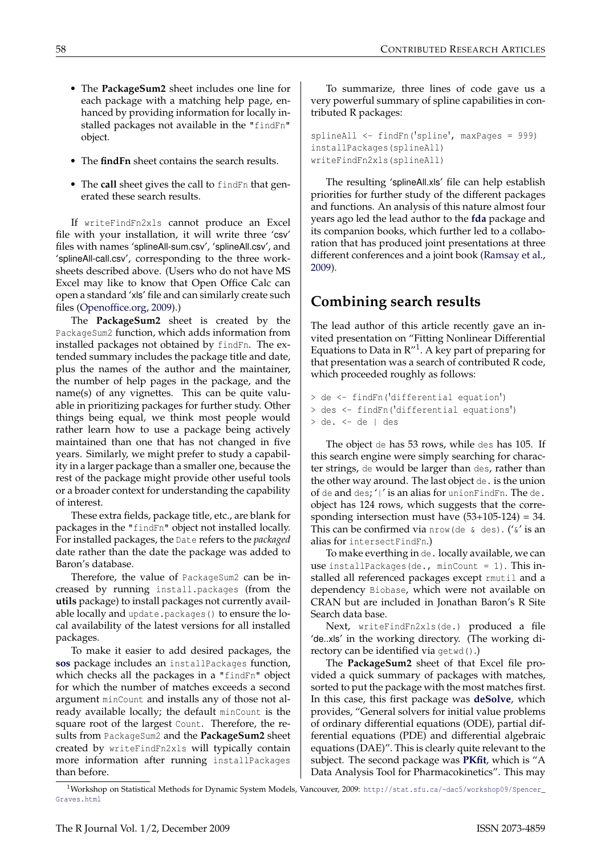- The **PackageSum2** sheet includes one line for each package with a matching help page, enhanced by providing information for locally installed packages not available in the "findFn" object.
- The **findFn** sheet contains the search results.
- The **call** sheet gives the call to findFn that generated these search results.

If writeFindFn2xls cannot produce an Excel file with your installation, it will write three 'csv' files with names 'splineAll-sum.csv', 'splineAll.csv', and 'splineAll-call.csv', corresponding to the three worksheets described above. (Users who do not have MS Excel may like to know that Open Office Calc can open a standard 'xls' file and can similarly create such files [\(Openoffice.org,](#page-3-2) [2009\)](#page-3-2).)

The **PackageSum2** sheet is created by the PackageSum2 function, which adds information from installed packages not obtained by findFn. The extended summary includes the package title and date, plus the names of the author and the maintainer, the number of help pages in the package, and the name(s) of any vignettes. This can be quite valuable in prioritizing packages for further study. Other things being equal, we think most people would rather learn how to use a package being actively maintained than one that has not changed in five years. Similarly, we might prefer to study a capability in a larger package than a smaller one, because the rest of the package might provide other useful tools or a broader context for understanding the capability of interest.

These extra fields, package title, etc., are blank for packages in the "findFn" object not installed locally. For installed packages, the Date refers to the *packaged* date rather than the date the package was added to Baron's database.

Therefore, the value of PackageSum2 can be increased by running install.packages (from the **utils** package) to install packages not currently available locally and update.packages() to ensure the local availability of the latest versions for all installed packages.

To make it easier to add desired packages, the **[sos](http://cran.r-project.org/package=sos)** package includes an installPackages function, which checks all the packages in a "findFn" object for which the number of matches exceeds a second argument minCount and installs any of those not already available locally; the default minCount is the square root of the largest Count. Therefore, the results from PackageSum2 and the **PackageSum2** sheet created by writeFindFn2xls will typically contain more information after running installPackages than before.

To summarize, three lines of code gave us a very powerful summary of spline capabilities in contributed R packages:

```
splineAll <- findFn('spline', maxPages = 999)
installPackages(splineAll)
writeFindFn2xls(splineAll)
```
The resulting 'splineAll.xls' file can help establish priorities for further study of the different packages and functions. An analysis of this nature almost four years ago led the lead author to the **[fda](http://cran.r-project.org/package=fda)** package and its companion books, which further led to a collaboration that has produced joint presentations at three different conferences and a joint book [\(Ramsay et al.,](#page-3-3) [2009\)](#page-3-3).

## **Combining search results**

The lead author of this article recently gave an invited presentation on "Fitting Nonlinear Differential Equations to Data in  $R''$ <sup>[1](#page-2-0)</sup>. A key part of preparing for that presentation was a search of contributed R code, which proceeded roughly as follows:

```
> de <- findFn('differential equation')
> des <- findFn('differential equations')
> de. <- de | des
```
The object de has 53 rows, while des has 105. If this search engine were simply searching for character strings, de would be larger than des, rather than the other way around. The last object de. is the union of de and des; '|' is an alias for unionFindFn. The de. object has 124 rows, which suggests that the corresponding intersection must have  $(53+105-124) = 34$ . This can be confirmed via nrow (de  $\&$  des). (' $\&'$  is an alias for intersectFindFn.)

To make everthing in de. locally available, we can use installPackages(de., minCount =  $1$ ). This installed all referenced packages except rmutil and a dependency Biobase, which were not available on CRAN but are included in Jonathan Baron's R Site Search data base.

Next, writeFindFn2xls(de.) produced a file 'de..xls' in the working directory. (The working directory can be identified via getwd().)

The **PackageSum2** sheet of that Excel file provided a quick summary of packages with matches, sorted to put the package with the most matches first. In this case, this first package was **[deSolve](http://cran.r-project.org/package=deSolve)**, which provides, "General solvers for initial value problems of ordinary differential equations (ODE), partial differential equations (PDE) and differential algebraic equations (DAE)". This is clearly quite relevant to the subject. The second package was **[PKfit](http://cran.r-project.org/package=PKfit)**, which is "A Data Analysis Tool for Pharmacokinetics". This may

<span id="page-2-0"></span><sup>1</sup>Workshop on Statistical Methods for Dynamic System Models, Vancouver, 2009: [http://stat.sfu.ca/~dac5/workshop09/Spencer\\_](http://stat.sfu.ca/~dac5/workshop09/Spencer_Graves.html) [Graves.html](http://stat.sfu.ca/~dac5/workshop09/Spencer_Graves.html)